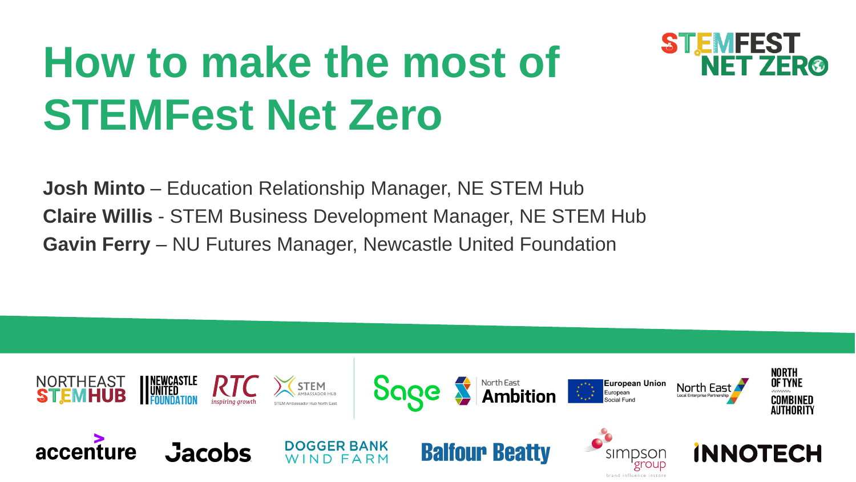# **How to make the most of STEMFest Net Zero**



**Josh Minto** – Education Relationship Manager, NE STEM Hub **Claire Willis** - STEM Business Development Manager, NE STEM Hub **Gavin Ferry** – NU Futures Manager, Newcastle United Foundation

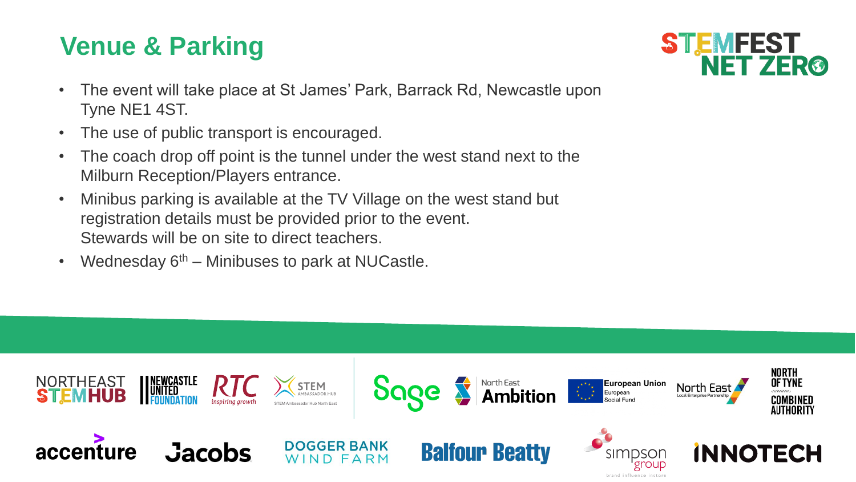# **Venue & Parking**



- The event will take place at St James' Park, Barrack Rd, Newcastle upon Tyne NE1 4ST.
- The use of public transport is encouraged.
- The coach drop off point is the tunnel under the west stand next to the Milburn Reception/Players entrance.
- Minibus parking is available at the TV Village on the west stand but registration details must be provided prior to the event. Stewards will be on site to direct teachers.
- Wednesday  $6<sup>th</sup>$  Minibuses to park at NUCastle.

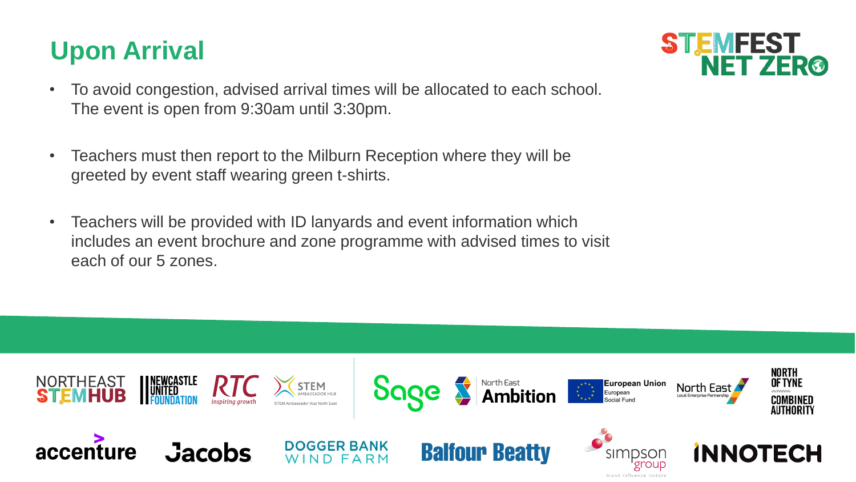# **Upon Arrival**



- To avoid congestion, advised arrival times will be allocated to each school. The event is open from 9:30am until 3:30pm.
- Teachers must then report to the Milburn Reception where they will be greeted by event staff wearing green t-shirts.
- Teachers will be provided with ID lanyards and event information which includes an event brochure and zone programme with advised times to visit each of our 5 zones.

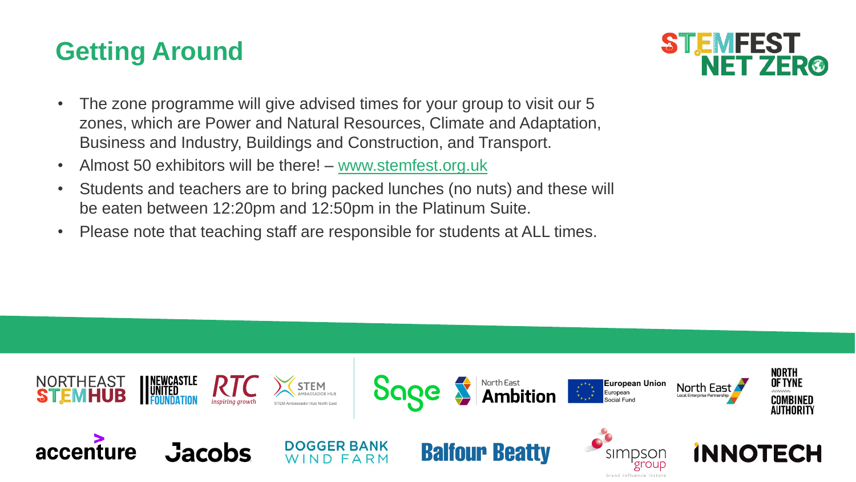### **Getting Around**



- The zone programme will give advised times for your group to visit our 5 zones, which are Power and Natural Resources, Climate and Adaptation, Business and Industry, Buildings and Construction, and Transport.
- Almost 50 exhibitors will be there! [www.stemfest.org.uk](http://www.stemfest.org.uk/)
- Students and teachers are to bring packed lunches (no nuts) and these will be eaten between 12:20pm and 12:50pm in the Platinum Suite.
- Please note that teaching staff are responsible for students at ALL times.

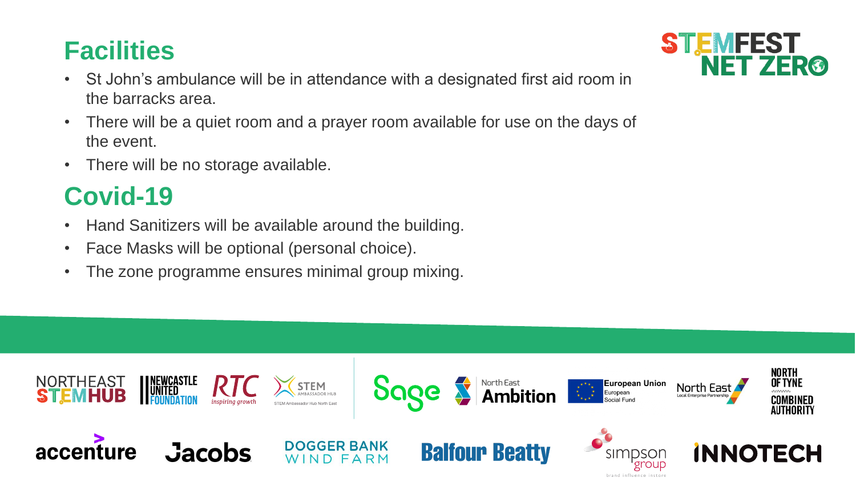# **Facilities**

- St John's ambulance will be in attendance with a designated first aid room in the barracks area.
- There will be a quiet room and a prayer room available for use on the days of the event.
- There will be no storage available.

# **Covid-19**

- Hand Sanitizers will be available around the building.
- Face Masks will be optional (personal choice).
- The zone programme ensures minimal group mixing.



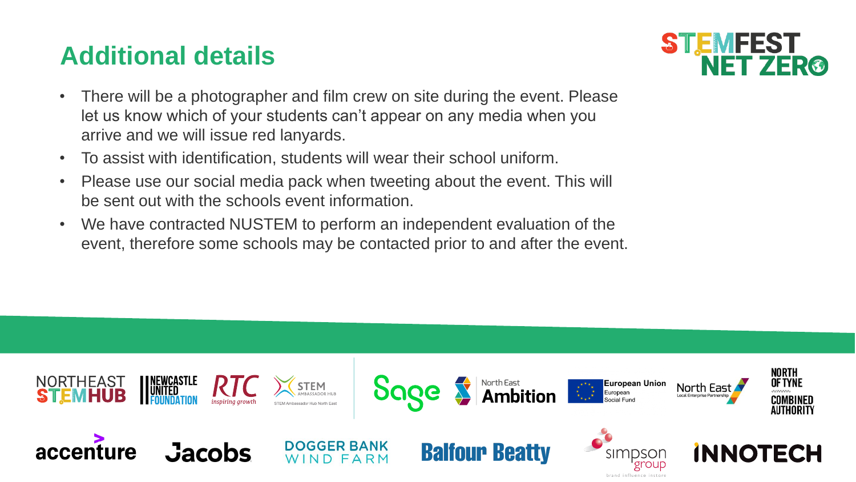# **Additional details**



- There will be a photographer and film crew on site during the event. Please let us know which of your students can't appear on any media when you arrive and we will issue red lanyards.
- To assist with identification, students will wear their school uniform.
- Please use our social media pack when tweeting about the event. This will be sent out with the schools event information.
- We have contracted NUSTEM to perform an independent evaluation of the event, therefore some schools may be contacted prior to and after the event.

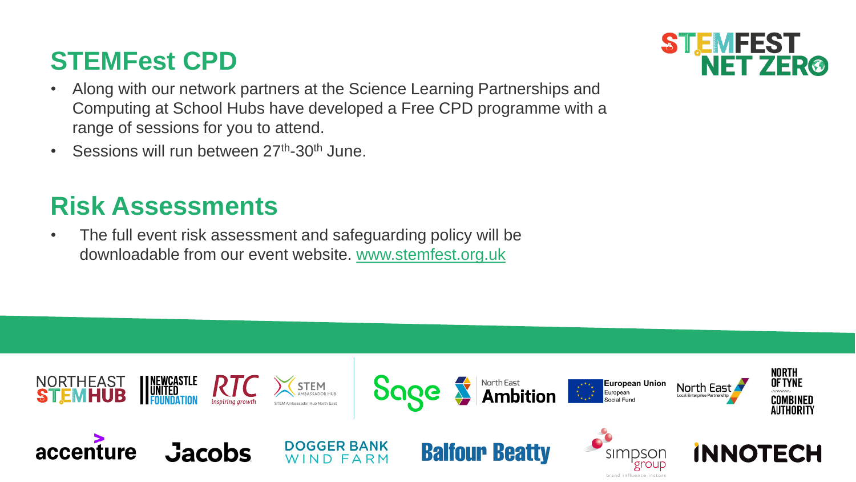#### **STEMFest CPD**

- Along with our network partners at the Science Learning Partnerships and Computing at School Hubs have developed a Free CPD programme with a range of sessions for you to attend.
- Sessions will run between 27<sup>th</sup>-30<sup>th</sup> June.

# **Risk Assessments**

• The full event risk assessment and safeguarding policy will be downloadable from our event website. [www.stemfest.org.uk](http://www.stemfest.org.uk/)